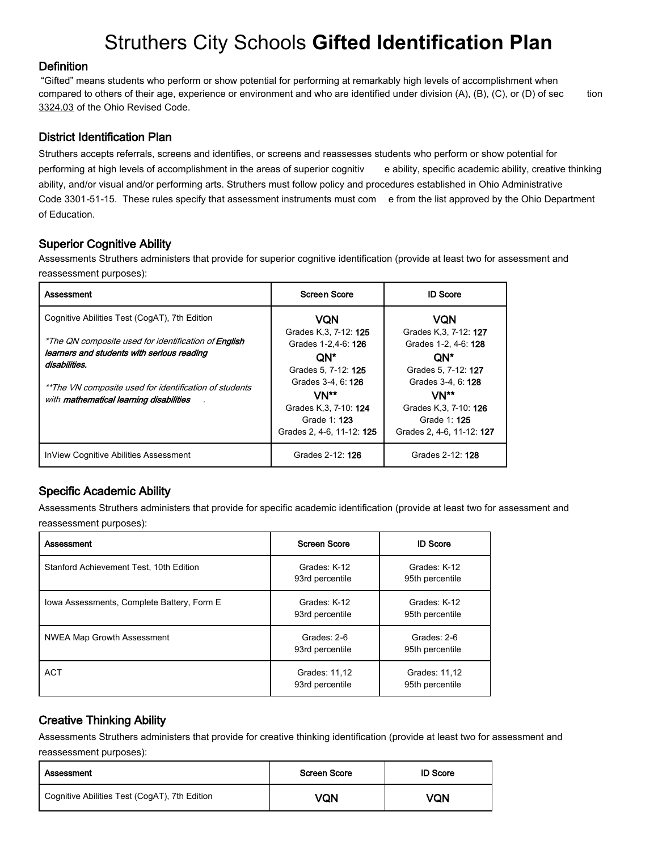# Struthers City Schools **Gifted Identification Plan**

#### **Definition**

"Gifted" means students who perform or show potential for performing at remarkably high levels of accomplishment when compared to others of their age, experience or environment and who are identified under division (A), (B), (C), or (D) of sec tion 3324.03 of the Ohio Revised Code.

## District Identification Plan

Struthers accepts referrals, screens and identifies, or screens and reassesses students who perform or show potential for performing at high levels of accomplishment in the areas of superior cognitiv e ability, specific academic ability, creative thinking ability, and/or visual and/or performing arts. Struthers must follow policy and procedures established in Ohio Administrative Code 3301-51-15. These rules specify that assessment instruments must com e from the list approved by the Ohio Department of Education.

## Superior Cognitive Ability

Assessments Struthers administers that provide for superior cognitive identification (provide at least two for assessment and reassessment purposes):

| Assessment                                                  | <b>Screen Score</b>                              | <b>ID Score</b>                               |
|-------------------------------------------------------------|--------------------------------------------------|-----------------------------------------------|
| Cognitive Abilities Test (CogAT), 7th Edition               | VON                                              | <b>VQN</b>                                    |
| *The QN composite used for identification of <b>English</b> | Grades K.3, 7-12: 125<br>Grades 1-2,4-6: 126     | Grades K.3, 7-12: 127<br>Grades 1-2, 4-6: 128 |
| learners and students with serious reading<br>disabilities. | QN*<br>Grades 5, 7-12: 125                       | ON*<br>Grades 5, 7-12: 127                    |
| **The VN composite used for identification of students      | Grades 3-4, 6: 126                               | Grades 3-4, 6: 128                            |
| with mathematical learning disabilities                     | VN**<br>Grades K.3, 7-10: 124                    | VN**<br>Grades K.3, 7-10: 126                 |
|                                                             | Grade 1: <b>123</b><br>Grades 2, 4-6, 11-12: 125 | Grade 1: 125<br>Grades 2, 4-6, 11-12: 127     |
| InView Cognitive Abilities Assessment                       | Grades 2-12: 126                                 | Grades 2-12: 128                              |

# Specific Academic Ability

Assessments Struthers administers that provide for specific academic identification (provide at least two for assessment and reassessment purposes):

| Assessment                                 | <b>Screen Score</b>              | <b>ID Score</b>                  |
|--------------------------------------------|----------------------------------|----------------------------------|
| Stanford Achievement Test, 10th Edition    | Grades: K-12<br>93rd percentile  | Grades: K-12<br>95th percentile  |
| Iowa Assessments, Complete Battery, Form E | Grades: K-12<br>93rd percentile  | Grades: K-12<br>95th percentile  |
| <b>NWEA Map Growth Assessment</b>          | Grades: 2-6<br>93rd percentile   | Grades: 2-6<br>95th percentile   |
| <b>ACT</b>                                 | Grades: 11.12<br>93rd percentile | Grades: 11.12<br>95th percentile |

# Creative Thinking Ability

Assessments Struthers administers that provide for creative thinking identification (provide at least two for assessment and reassessment purposes):

| Assessment                                    | <b>Screen Score</b> | <b>ID Score</b> |
|-----------------------------------------------|---------------------|-----------------|
| Cognitive Abilities Test (CogAT), 7th Edition | VQN                 | VQN             |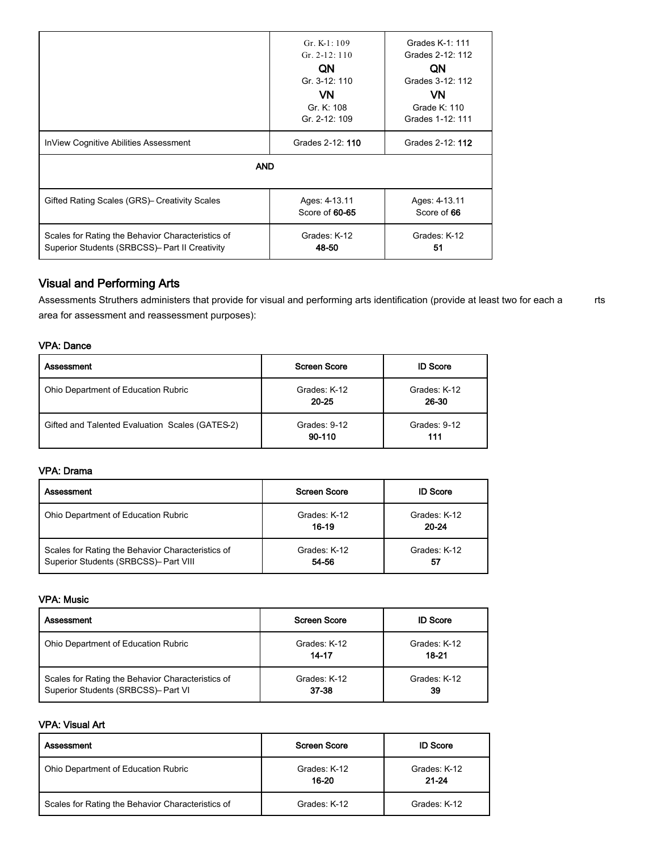|                                                                                                     | Gr. $K-1:109$<br>$Gr. 2-12: 110$<br>QN<br>Gr. 3-12: 110<br>VN<br>Gr. K: 108<br>Gr. 2-12: 109 | Grades K-1: 111<br>Grades 2-12: 112<br>QN<br>Grades 3-12: 112<br>VN.<br>Grade K: 110<br>Grades 1-12: 111 |
|-----------------------------------------------------------------------------------------------------|----------------------------------------------------------------------------------------------|----------------------------------------------------------------------------------------------------------|
| InView Cognitive Abilities Assessment                                                               | Grades 2-12: 110                                                                             | Grades 2-12: 112                                                                                         |
| <b>AND</b>                                                                                          |                                                                                              |                                                                                                          |
| Gifted Rating Scales (GRS) Creativity Scales                                                        | Ages: 4-13.11<br>Score of 60-65                                                              | Ages: 4-13.11<br>Score of 66                                                                             |
| Scales for Rating the Behavior Characteristics of<br>Superior Students (SRBCSS)- Part II Creativity | Grades: K-12<br>48-50                                                                        | Grades: K-12<br>51                                                                                       |

## Visual and Performing Arts

Assessments Struthers administers that provide for visual and performing arts identification (provide at least two for each a rts area for assessment and reassessment purposes):

#### VPA: Dance

| Assessment                                      | <b>Screen Score</b>       | <b>ID Score</b>       |
|-------------------------------------------------|---------------------------|-----------------------|
| Ohio Department of Education Rubric             | Grades: K-12<br>$20 - 25$ | Grades: K-12<br>26-30 |
| Gifted and Talented Evaluation Scales (GATES-2) | Grades: 9-12<br>90-110    | Grades: 9-12<br>111   |

#### VPA: Drama

| Assessment                                                                                 | <b>Screen Score</b>   | <b>ID Score</b>       |
|--------------------------------------------------------------------------------------------|-----------------------|-----------------------|
| Ohio Department of Education Rubric                                                        | Grades: K-12<br>16-19 | Grades: K-12<br>20-24 |
| Scales for Rating the Behavior Characteristics of<br>Superior Students (SRBCSS)- Part VIII | Grades: K-12<br>54-56 | Grades: K-12<br>57    |

#### VPA: Music

| Assessment                                                                               | Screen Score          | <b>ID Score</b>       |
|------------------------------------------------------------------------------------------|-----------------------|-----------------------|
| Ohio Department of Education Rubric                                                      | Grades: K-12<br>14-17 | Grades: K-12<br>18-21 |
| Scales for Rating the Behavior Characteristics of<br>Superior Students (SRBCSS)- Part VI | Grades: K-12<br>37-38 | Grades: K-12<br>39    |

#### VPA: Visual Art

| Assessment                                        | <b>Screen Score</b>   | <b>ID Score</b>           |
|---------------------------------------------------|-----------------------|---------------------------|
| Ohio Department of Education Rubric               | Grades: K-12<br>16-20 | Grades: K-12<br>$21 - 24$ |
| Scales for Rating the Behavior Characteristics of | Grades: K-12          | Grades: K-12              |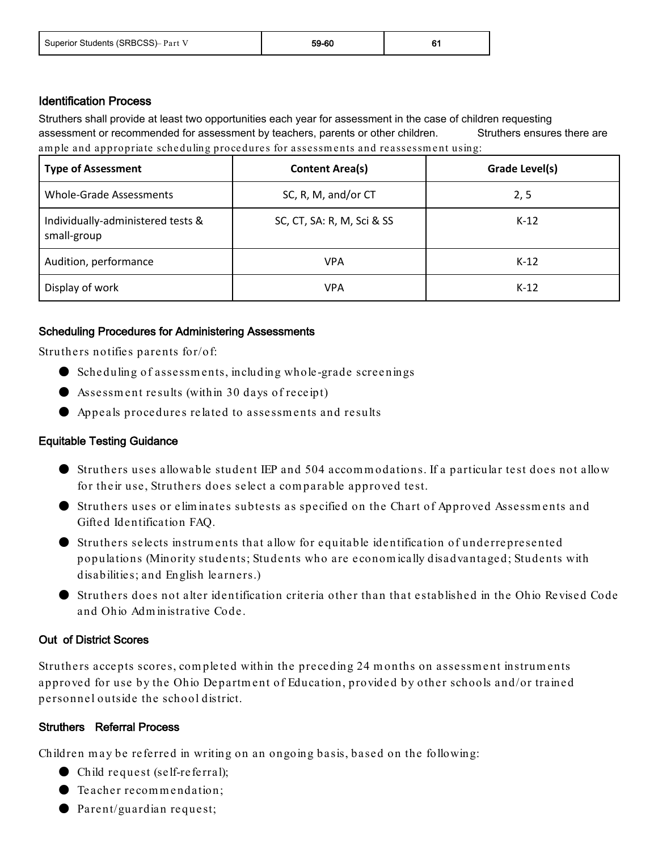| Superior Students (SRBCSS)- Part V | 59-60 |  |
|------------------------------------|-------|--|
|------------------------------------|-------|--|

#### Identification Process

Struthers shall provide at least two opportunities each year for assessment in the case of children requesting assessment or recommended for assessment by teachers, parents or other children. Struthers ensures there are ample and appropriate scheduling procedures for assessments and reassessment using:

| <b>Type of Assessment</b>                        | <b>Content Area(s)</b>     | Grade Level(s) |
|--------------------------------------------------|----------------------------|----------------|
| <b>Whole-Grade Assessments</b>                   | SC, R, M, and/or CT        | 2,5            |
| Individually-administered tests &<br>small-group | SC, CT, SA: R, M, Sci & SS | $K-12$         |
| Audition, performance                            | VPA                        | $K-12$         |
| Display of work                                  | VPA                        | $K-12$         |

## Scheduling Procedures for Administering Assessments

Struthers notifies parents for/of:

- Scheduling of assessments, including whole-grade screenings
- Assessm ent results (within 30 days of receipt)
- Appeals procedures related to assessm ents and results

#### Equitable Testing Guidance

- Struthers uses allowable student IEP and 504 accom m odations. If a particular test does not allow for their use, Struthers does select a com parable approved test.
- Struthers uses or elim inates subtests as specified on the Chart of Approved Assessm ents and Gifted Identification FAQ.
- Struthers selects instrum ents that allow for equitable identification of underrepresented populations (Minority students; Students who are econom ically disadvantaged; Students with disabilities; and English learners.)
- Struthers does not alter identification criteria other than that established in the Ohio Revised Code and Ohio Adm inistrative Code.

#### Out of District Scores

Struthers accepts scores, completed within the preceding 24 months on assessment instruments approved for use by the Ohio Departm ent of Education, provided by other schools and/or trained personnel outside the school district.

# Struthers Referral Process

Children m ay be referred in writing on an ongoing basis, based on the following:

- Child request (self-referral);
- Teacher recom m endation;
- Parent/guardian request;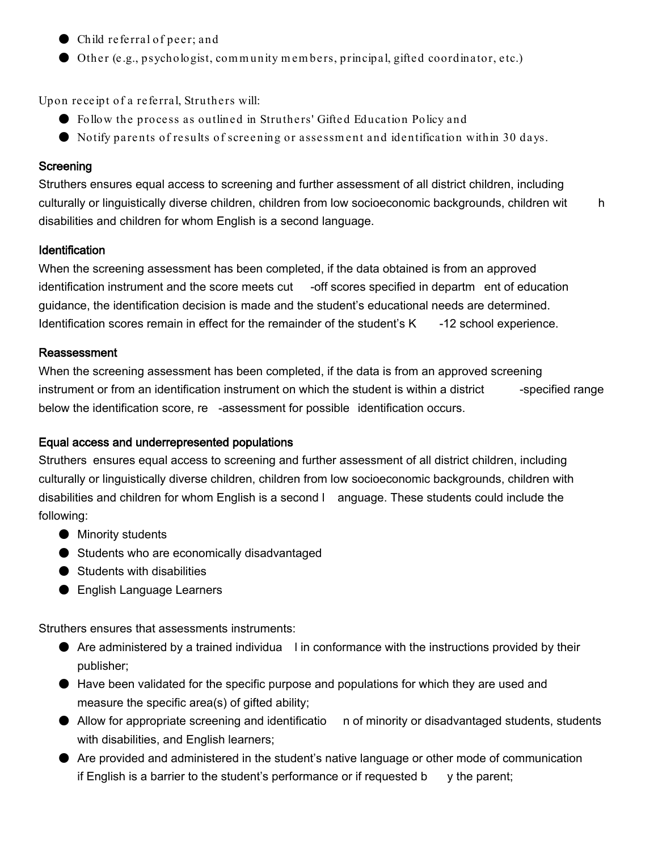- Child referral of peer; and
- Other (e.g., psychologist, community members, principal, gifted coordinator, etc.)

Upon receipt of a referral, Struthers will:

- Follow the process as outlined in Struthers' Gifted Education Policy and
- Notify parents of results of screening or assessm ent and identification within 30 days.

#### **Screening**

Struthers ensures equal access to screening and further assessment of all district children, including culturally or linguistically diverse children, children from low socioeconomic backgrounds, children wit h disabilities and children for whom English is a second language.

#### Identification

When the screening assessment has been completed, if the data obtained is from an approved identification instrument and the score meets cut -off scores specified in departm ent of education guidance, the identification decision is made and the student's educational needs are determined. Identification scores remain in effect for the remainder of the student's K -12 school experience.

#### Reassessment

When the screening assessment has been completed, if the data is from an approved screening instrument or from an identification instrument on which the student is within a district --specified range below the identification score, re -assessment for possible identification occurs.

#### Equal access and underrepresented populations

Struthers ensures equal access to screening and further assessment of all district children, including culturally or linguistically diverse children, children from low socioeconomic backgrounds, children with disabilities and children for whom English is a second l anguage. These students could include the following:

- Minority students
- Students who are economically disadvantaged
- Students with disabilities
- English Language Learners

Struthers ensures that assessments instruments:

- Are administered by a trained individua lin conformance with the instructions provided by their publisher;
- Have been validated for the specific purpose and populations for which they are used and measure the specific area(s) of gifted ability;
- Allow for appropriate screening and identificatio n of minority or disadvantaged students, students with disabilities, and English learners;
- Are provided and administered in the student's native language or other mode of communication if English is a barrier to the student's performance or if requested  $\mathbf{b}$  y the parent;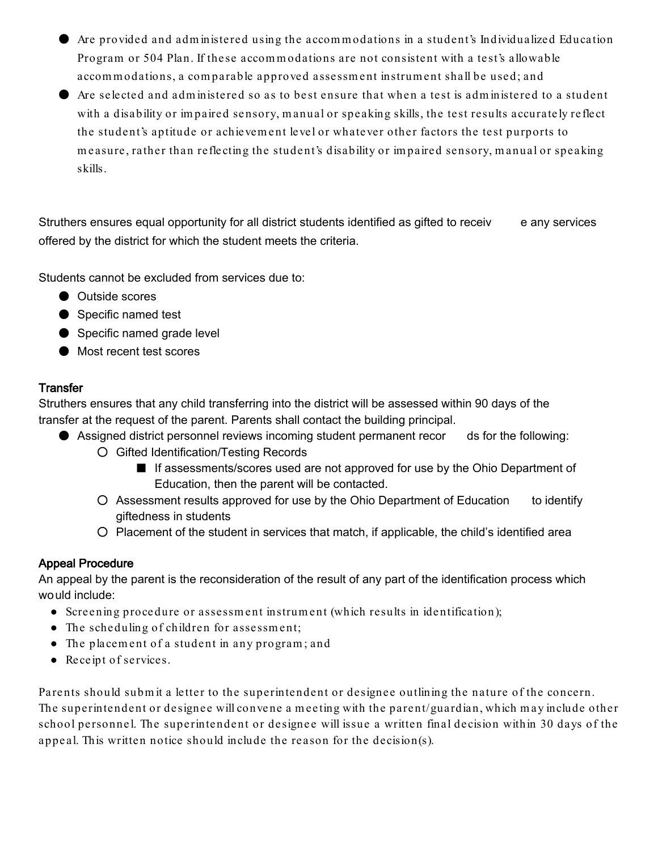- Are provided and adm inistered using the accom m odations in a student's Individualized Education Program or 504 Plan. If these accom m odations are not consistent with a test's allowable accom m odations, a com parable approved assessm ent instrum ent shall be used; and
- Are selected and adm inistered so as to best ensure that when a test is adm inistered to a student with a disability or im paired sensory, m anual or speaking skills, the test results accurately reflect the student's aptitude or achievem ent level or whatever other factors the test purports to m easure, rather than reflecting the student's disability or im paired sensory, m anual or speaking skills.

Struthers ensures equal opportunity for all district students identified as gifted to receiv e any services offered by the district for which the student meets the criteria.

Students cannot be excluded from services due to:

- Outside scores
- Specific named test
- Specific named grade level
- Most recent test scores

# **Transfer**

Struthers ensures that any child transferring into the district will be assessed within 90 days of the transfer at the request of the parent. Parents shall contact the building principal.

- Assigned district personnel reviews incoming student permanent recor ds for the following:
	- Gifted Identification/Testing Records
		- If assessments/scores used are not approved for use by the Ohio Department of Education, then the parent will be contacted.
	- Assessment results approved for use by the Ohio Department of Education to identify giftedness in students
	- Placement of the student in services that match, if applicable, the child's identified area

# Appeal Procedure

An appeal by the parent is the reconsideration of the result of any part of the identification process which would include:

- Screening procedure or assessm ent instrum ent (which results in identification);
- The scheduling of children for assessment;
- The placem ent of a student in any program ; and
- Receipt of services.

Parents should subm it a letter to the superintendent or designee outlining the nature of the concern. The superintendent or designee will convene a m eeting with the parent/guardian, which m ay include other school personnel. The superintendent or designee will issue a written final decision within 30 days of the appeal. This written notice should include the reason for the decision(s).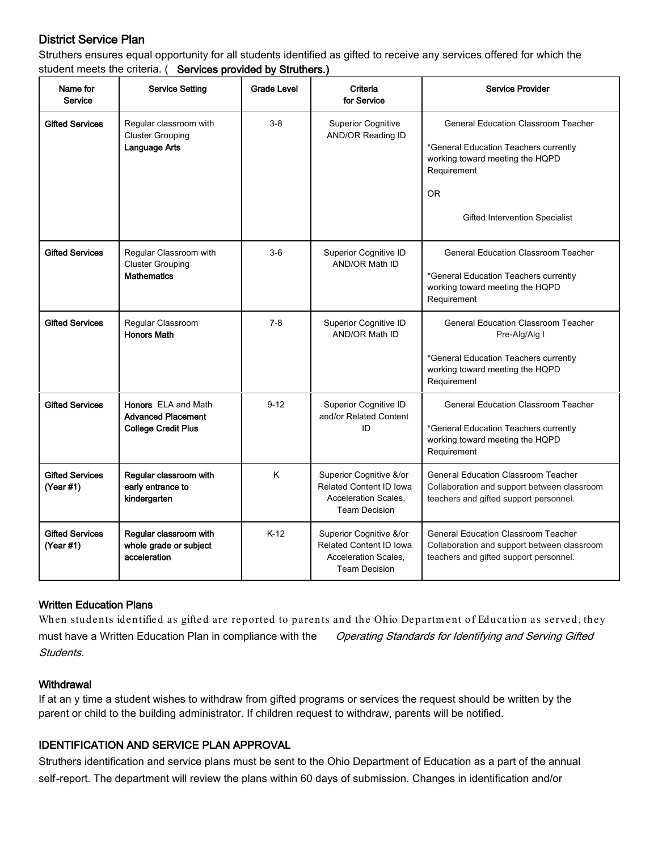# District Service Plan

Struthers ensures equal opportunity for all students identified as gifted to receive any services offered for which the student meets the criteria. ( Services provided by Struthers.)

| Name for<br>Service                 | <b>Service Setting</b>                                                                | <b>Grade Level</b> | Criteria<br>for Service                                                                                   | <b>Service Provider</b>                                                                                                                                                              |
|-------------------------------------|---------------------------------------------------------------------------------------|--------------------|-----------------------------------------------------------------------------------------------------------|--------------------------------------------------------------------------------------------------------------------------------------------------------------------------------------|
| <b>Gifted Services</b>              | Regular classroom with<br><b>Cluster Grouping</b><br>Language Arts                    | $3-8$              | <b>Superior Cognitive</b><br>AND/OR Reading ID                                                            | <b>General Education Classroom Teacher</b><br>*General Education Teachers currently<br>working toward meeting the HQPD<br>Requirement<br><b>OR</b><br>Gifted Intervention Specialist |
| <b>Gifted Services</b>              | Regular Classroom with<br><b>Cluster Grouping</b><br><b>Mathematics</b>               | $3-6$              | Superior Cognitive ID<br>AND/OR Math ID                                                                   | <b>General Education Classroom Teacher</b><br>*General Education Teachers currently<br>working toward meeting the HQPD<br>Requirement                                                |
| <b>Gifted Services</b>              | Regular Classroom<br><b>Honors Math</b>                                               | $7 - 8$            | Superior Cognitive ID<br>AND/OR Math ID                                                                   | <b>General Education Classroom Teacher</b><br>Pre-Alg/Alg I<br>*General Education Teachers currently<br>working toward meeting the HQPD<br>Requirement                               |
| <b>Gifted Services</b>              | <b>Honors</b> ELA and Math<br><b>Advanced Placement</b><br><b>College Credit Plus</b> | $9 - 12$           | Superior Cognitive ID<br>and/or Related Content<br>ID                                                     | <b>General Education Classroom Teacher</b><br>*General Education Teachers currently<br>working toward meeting the HQPD<br>Requirement                                                |
| <b>Gifted Services</b><br>(Year #1) | Regular classroom with<br>early entrance to<br>kindergarten                           | K.                 | Superior Cognitive &/or<br><b>Related Content ID Iowa</b><br>Acceleration Scales,<br><b>Team Decision</b> | <b>General Education Classroom Teacher</b><br>Collaboration and support between classroom<br>teachers and gifted support personnel.                                                  |
| <b>Gifted Services</b><br>(Year #1) | Regular classroom with<br>whole grade or subject<br>acceleration                      | $K-12$             | Superior Cognitive &/or<br><b>Related Content ID Iowa</b><br>Acceleration Scales,<br><b>Team Decision</b> | <b>General Education Classroom Teacher</b><br>Collaboration and support between classroom<br>teachers and gifted support personnel.                                                  |

#### Written Education Plans

When students identified as gifted are reported to parents and the Ohio Department of Education as served, they must have a Written Education Plan in compliance with the Operating Standards for Identifying and Serving Gifted Students.

#### **Withdrawal**

If at an y time a student wishes to withdraw from gifted programs or services the request should be written by the parent or child to the building administrator. If children request to withdraw, parents will be notified.

#### IDENTIFICATION AND SERVICE PLAN APPROVAL

Struthers identification and service plans must be sent to the Ohio Department of Education as a part of the annual self-report. The department will review the plans within 60 days of submission. Changes in identification and/or